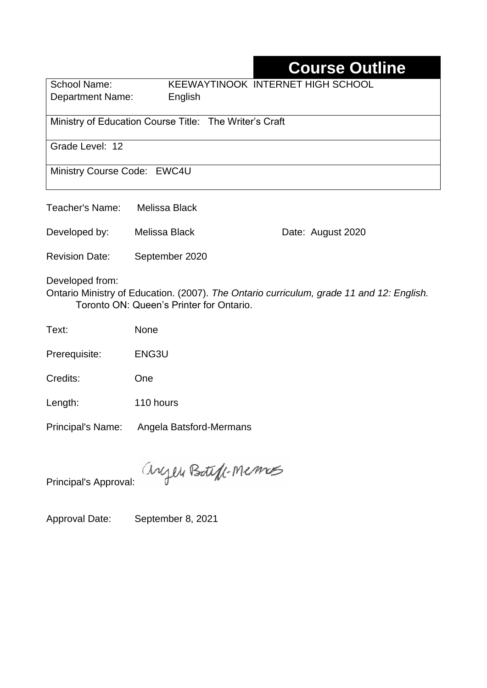# **Course Outline**

School Name: KEEWAYTINOOK INTERNET HIGH SCHOOL Department Name:English

Ministry of Education Course Title: The Writer's Craft

Grade Level: 12

Ministry Course Code: EWC4U

| Teacher's Name: | Melissa Black |
|-----------------|---------------|
|                 |               |

Developed by: Melissa Black Date: August 2020

Revision Date: September 2020

Developed from:

Ontario Ministry of Education. (2007). *The Ontario curriculum, grade 11 and 12: English.*  Toronto ON: Queen's Printer for Ontario.

Text: None

Prerequisite: ENG3U

Credits: One

Length: 110 hours

Principal's Name: Angela Batsford-Mermans

anyen Boteff-Memos

Principal's Approval:

Approval Date: September 8, 2021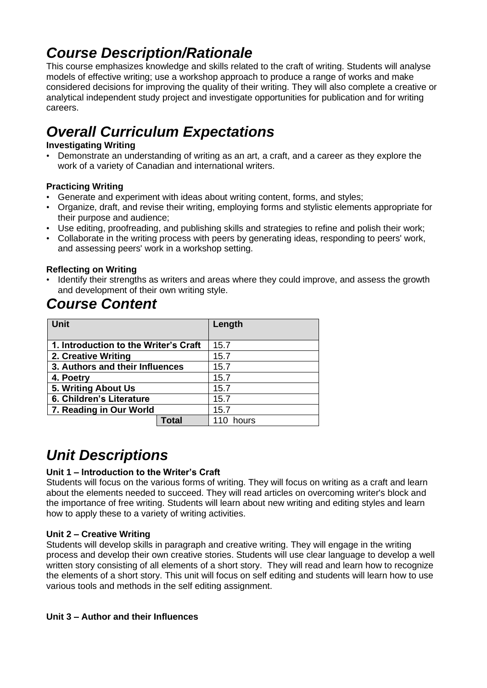# *Course Description/Rationale*

This course emphasizes knowledge and skills related to the craft of writing. Students will analyse models of effective writing; use a workshop approach to produce a range of works and make considered decisions for improving the quality of their writing. They will also complete a creative or analytical independent study project and investigate opportunities for publication and for writing careers.

# *Overall Curriculum Expectations*

### **Investigating Writing**

• Demonstrate an understanding of writing as an art, a craft, and a career as they explore the work of a variety of Canadian and international writers.

### **Practicing Writing**

- Generate and experiment with ideas about writing content, forms, and styles;
- Organize, draft, and revise their writing, employing forms and stylistic elements appropriate for their purpose and audience;
- Use editing, proofreading, and publishing skills and strategies to refine and polish their work;
- Collaborate in the writing process with peers by generating ideas, responding to peers' work, and assessing peers' work in a workshop setting.

### **Reflecting on Writing**

• Identify their strengths as writers and areas where they could improve, and assess the growth and development of their own writing style.

## *Course Content*

| Unit                                  |       | Length |
|---------------------------------------|-------|--------|
| 1. Introduction to the Writer's Craft |       | 15.7   |
| 2. Creative Writing                   |       | 15.7   |
| 3. Authors and their Influences       |       | 15.7   |
| 4. Poetry                             |       | 15.7   |
| 5. Writing About Us                   |       | 15.7   |
| 6. Children's Literature              |       | 15.7   |
| 7. Reading in Our World               |       | 15.7   |
|                                       | Total | hours  |

## *Unit Descriptions*

### **Unit 1 – Introduction to the Writer's Craft**

Students will focus on the various forms of writing. They will focus on writing as a craft and learn about the elements needed to succeed. They will read articles on overcoming writer's block and the importance of free writing. Students will learn about new writing and editing styles and learn how to apply these to a variety of writing activities.

#### **Unit 2 – Creative Writing**

Students will develop skills in paragraph and creative writing. They will engage in the writing process and develop their own creative stories. Students will use clear language to develop a well written story consisting of all elements of a short story. They will read and learn how to recognize the elements of a short story. This unit will focus on self editing and students will learn how to use various tools and methods in the self editing assignment.

#### **Unit 3 – Author and their Influences**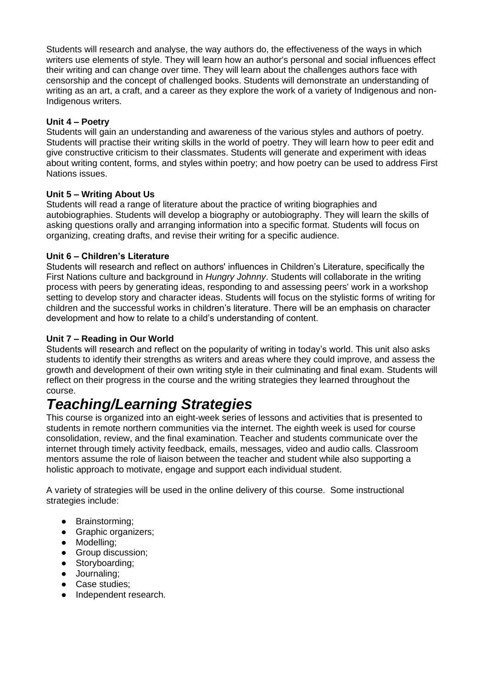Students will research and analyse, the way authors do, the effectiveness of the ways in which writers use elements of style. They will learn how an author's personal and social influences effect their writing and can change over time. They will learn about the challenges authors face with censorship and the concept of challenged books. Students will demonstrate an understanding of writing as an art, a craft, and a career as they explore the work of a variety of Indigenous and non-Indigenous writers.

#### **Unit 4 – Poetry**

Students will gain an understanding and awareness of the various styles and authors of poetry. Students will practise their writing skills in the world of poetry. They will learn how to peer edit and give constructive criticism to their classmates. Students will generate and experiment with ideas about writing content, forms, and styles within poetry; and how poetry can be used to address First Nations issues.

#### **Unit 5 – Writing About Us**

Students will read a range of literature about the practice of writing biographies and autobiographies. Students will develop a biography or autobiography. They will learn the skills of asking questions orally and arranging information into a specific format. Students will focus on organizing, creating drafts, and revise their writing for a specific audience.

#### **Unit 6 – Children's Literature**

Students will research and reflect on authors' influences in Children's Literature, specifically the First Nations culture and background in *Hungry Johnny*. Students will collaborate in the writing process with peers by generating ideas, responding to and assessing peers' work in a workshop setting to develop story and character ideas. Students will focus on the stylistic forms of writing for children and the successful works in children's literature. There will be an emphasis on character development and how to relate to a child's understanding of content.

#### **Unit 7 – Reading in Our World**

Students will research and reflect on the popularity of writing in today's world. This unit also asks students to identify their strengths as writers and areas where they could improve, and assess the growth and development of their own writing style in their culminating and final exam. Students will reflect on their progress in the course and the writing strategies they learned throughout the course.

## *Teaching/Learning Strategies*

This course is organized into an eight-week series of lessons and activities that is presented to students in remote northern communities via the internet. The eighth week is used for course consolidation, review, and the final examination. Teacher and students communicate over the internet through timely activity feedback, emails, messages, video and audio calls. Classroom mentors assume the role of liaison between the teacher and student while also supporting a holistic approach to motivate, engage and support each individual student.

A variety of strategies will be used in the online delivery of this course. Some instructional strategies include:

- Brainstorming;
- Graphic organizers;
- Modelling;
- Group discussion;
- Storyboarding;
- Journaling;
- Case studies;
- Independent research.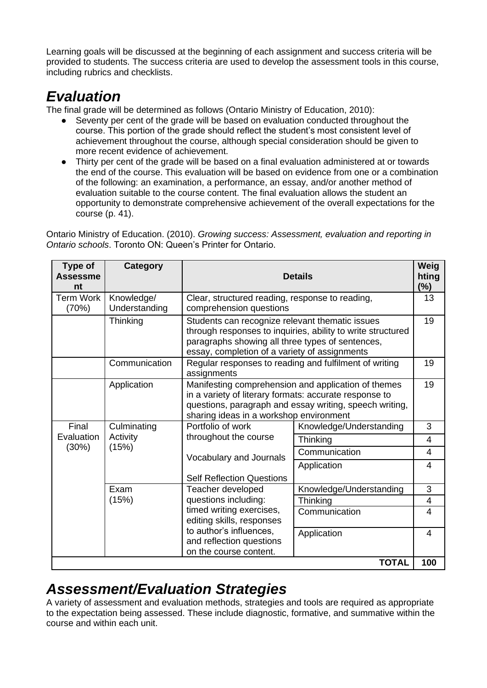Learning goals will be discussed at the beginning of each assignment and success criteria will be provided to students. The success criteria are used to develop the assessment tools in this course, including rubrics and checklists.

# *Evaluation*

The final grade will be determined as follows (Ontario Ministry of Education, 2010):

- Seventy per cent of the grade will be based on evaluation conducted throughout the course. This portion of the grade should reflect the student's most consistent level of achievement throughout the course, although special consideration should be given to more recent evidence of achievement.
- Thirty per cent of the grade will be based on a final evaluation administered at or towards the end of the course. This evaluation will be based on evidence from one or a combination of the following: an examination, a performance, an essay, and/or another method of evaluation suitable to the course content. The final evaluation allows the student an opportunity to demonstrate comprehensive achievement of the overall expectations for the course (p. 41).

Ontario Ministry of Education. (2010). *Growing success: Assessment, evaluation and reporting in Ontario schools*. Toronto ON: Queen's Printer for Ontario.

| Type of<br><b>Assessme</b><br>nt                                                  | Category                                                                      |                                                                                                                                                                                                                     | <b>Details</b>          | Weig<br>hting<br>(%) |
|-----------------------------------------------------------------------------------|-------------------------------------------------------------------------------|---------------------------------------------------------------------------------------------------------------------------------------------------------------------------------------------------------------------|-------------------------|----------------------|
| <b>Term Work</b><br>(70%)                                                         | Knowledge/<br>Understanding                                                   | Clear, structured reading, response to reading,<br>comprehension questions                                                                                                                                          |                         |                      |
|                                                                                   | Thinking                                                                      | Students can recognize relevant thematic issues<br>through responses to inquiries, ability to write structured<br>paragraphs showing all three types of sentences,<br>essay, completion of a variety of assignments |                         |                      |
|                                                                                   | Communication                                                                 | Regular responses to reading and fulfilment of writing<br>assignments                                                                                                                                               |                         |                      |
|                                                                                   | Application                                                                   | Manifesting comprehension and application of themes<br>in a variety of literary formats: accurate response to<br>questions, paragraph and essay writing, speech writing,<br>sharing ideas in a workshop environment |                         | 19                   |
| Final<br>Culminating<br>Evaluation<br>Activity<br>(15%)<br>(30%)<br>Exam<br>(15%) |                                                                               | Portfolio of work                                                                                                                                                                                                   | Knowledge/Understanding | 3                    |
|                                                                                   | throughout the course                                                         | Thinking                                                                                                                                                                                                            | $\overline{4}$          |                      |
|                                                                                   | Vocabulary and Journals                                                       | Communication                                                                                                                                                                                                       | $\overline{4}$          |                      |
|                                                                                   | <b>Self Reflection Questions</b>                                              | Application                                                                                                                                                                                                         | $\overline{4}$          |                      |
|                                                                                   |                                                                               | Teacher developed                                                                                                                                                                                                   | Knowledge/Understanding | 3                    |
|                                                                                   |                                                                               | questions including:                                                                                                                                                                                                | Thinking                | 4                    |
|                                                                                   | timed writing exercises,<br>editing skills, responses                         | Communication                                                                                                                                                                                                       | 4                       |                      |
|                                                                                   | to author's influences,<br>and reflection questions<br>on the course content. | Application                                                                                                                                                                                                         | 4                       |                      |
|                                                                                   |                                                                               |                                                                                                                                                                                                                     | <b>TOTAL</b>            | 100                  |

## *Assessment/Evaluation Strategies*

A variety of assessment and evaluation methods, strategies and tools are required as appropriate to the expectation being assessed. These include diagnostic, formative, and summative within the course and within each unit.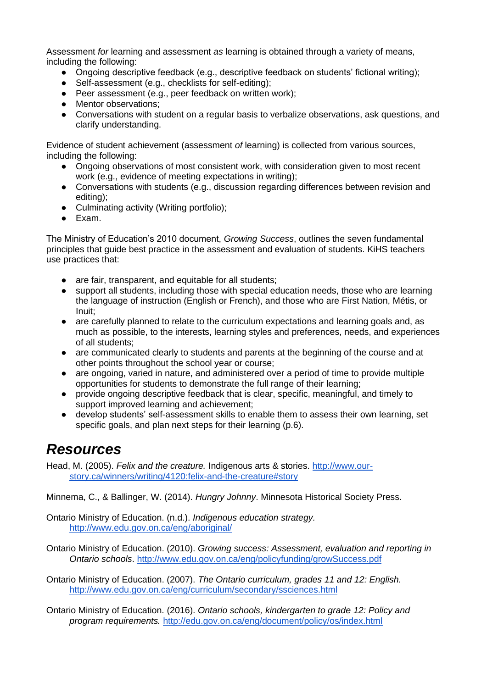Assessment *for* learning and assessment *as* learning is obtained through a variety of means, including the following:

- Ongoing descriptive feedback (e.g., descriptive feedback on students' fictional writing);
- Self-assessment (e.g., checklists for self-editing);
- Peer assessment (e.g., peer feedback on written work);
- Mentor observations;
- Conversations with student on a regular basis to verbalize observations, ask questions, and clarify understanding.

Evidence of student achievement (assessment *of* learning) is collected from various sources, including the following:

- Ongoing observations of most consistent work, with consideration given to most recent work (e.g., evidence of meeting expectations in writing);
- Conversations with students (e.g., discussion regarding differences between revision and editing);
- Culminating activity (Writing portfolio);
- Exam.

The Ministry of Education's 2010 document, *Growing Success*, outlines the seven fundamental principles that guide best practice in the assessment and evaluation of students. KiHS teachers use practices that:

- are fair, transparent, and equitable for all students;
- support all students, including those with special education needs, those who are learning the language of instruction (English or French), and those who are First Nation, Métis, or Inuit;
- are carefully planned to relate to the curriculum expectations and learning goals and, as much as possible, to the interests, learning styles and preferences, needs, and experiences of all students;
- are communicated clearly to students and parents at the beginning of the course and at other points throughout the school year or course;
- are ongoing, varied in nature, and administered over a period of time to provide multiple opportunities for students to demonstrate the full range of their learning;
- provide ongoing descriptive feedback that is clear, specific, meaningful, and timely to support improved learning and achievement;
- develop students' self-assessment skills to enable them to assess their own learning, set specific goals, and plan next steps for their learning (p.6).

## *Resources*

Head, M. (2005). *Felix and the creature.* Indigenous arts & stories. [http://www.our](http://www.our-story.ca/winners/writing/4120:felix-and-the-creature#story)[story.ca/winners/writing/4120:felix-and-the-creature#story](http://www.our-story.ca/winners/writing/4120:felix-and-the-creature#story)

Minnema, C., & Ballinger, W. (2014). *Hungry Johnny*. Minnesota Historical Society Press.

Ontario Ministry of Education. (n.d.). *Indigenous education strategy.* <http://www.edu.gov.on.ca/eng/aboriginal/>

Ontario Ministry of Education. (2010). *Growing success: Assessment, evaluation and reporting in Ontario schools*.<http://www.edu.gov.on.ca/eng/policyfunding/growSuccess.pdf>

Ontario Ministry of Education. (2007). *The Ontario curriculum, grades 11 and 12: English.*  <http://www.edu.gov.on.ca/eng/curriculum/secondary/ssciences.html>

Ontario Ministry of Education. (2016). *Ontario schools, kindergarten to grade 12: Policy and program requirements.* <http://edu.gov.on.ca/eng/document/policy/os/index.html>